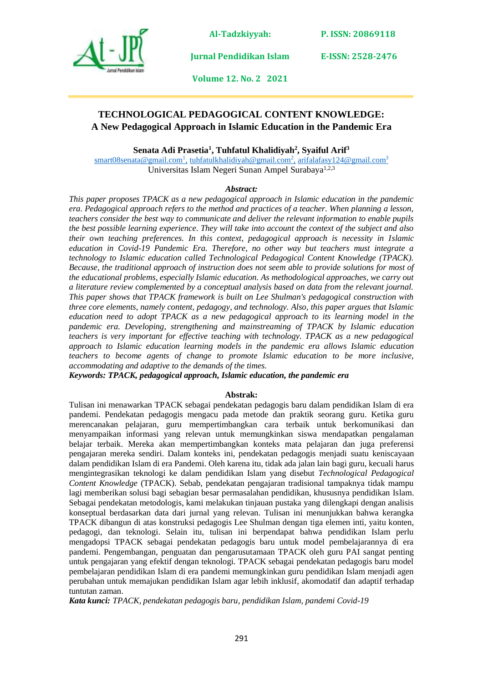

**P. ISSN: 20869118** 

**Jurnal Pendidikan Islam** 

**E-ISSN: 2528-2476**

**Volume 12. No. 2 2021**

### **TECHNOLOGICAL PEDAGOGICAL CONTENT KNOWLEDGE: A New Pedagogical Approach in Islamic Education in the Pandemic Era**

**Senata Adi Prasetia<sup>1</sup> , Tuhfatul Khalidiyah<sup>2</sup> , Syaiful Arif<sup>3</sup>**

[smart08senata@gmail.com](mailto:smart08senata@gmail.com)<sup>1</sup>, [tuhfatulkhalidiyah@gmail.com](mailto:tuhfatulkhalidiyah@gmail.com)<sup>2</sup>, [arifalafasy124@gmail.com](mailto:arifalafasy124@gmail.com)<sup>3</sup> Universitas Islam Negeri Sunan Ampel Surabaya1,2,3

#### *Abstract:*

*This paper proposes TPACK as a new pedagogical approach in Islamic education in the pandemic era. Pedagogical approach refers to the method and practices of a teacher. When planning a lesson, teachers consider the best way to communicate and deliver the relevant information to enable pupils the best possible learning experience. They will take into account the context of the subject and also their own teaching preferences. In this context, pedagogical approach is necessity in Islamic education in Covid-19 Pandemic Era. Therefore, no other way but teachers must integrate a technology to Islamic education called Technological Pedagogical Content Knowledge (TPACK). Because, the traditional approach of instruction does not seem able to provide solutions for most of the educational problems, especially Islamic education. As methodological approaches, we carry out a literature review complemented by a conceptual analysis based on data from the relevant journal. This paper shows that TPACK framework is built on Lee Shulman's pedagogical construction with three core elements, namely content, pedagogy, and technology. Also, this paper argues that Islamic education need to adopt TPACK as a new pedagogical approach to its learning model in the pandemic era. Developing, strengthening and mainstreaming of TPACK by Islamic education teachers is very important for effective teaching with technology. TPACK as a new pedagogical approach to Islamic education learning models in the pandemic era allows Islamic education teachers to become agents of change to promote Islamic education to be more inclusive, accommodating and adaptive to the demands of the times.*

*Keywords: TPACK, pedagogical approach, Islamic education, the pandemic era*

#### **Abstrak:**

Tulisan ini menawarkan TPACK sebagai pendekatan pedagogis baru dalam pendidikan Islam di era pandemi. Pendekatan pedagogis mengacu pada metode dan praktik seorang guru. Ketika guru merencanakan pelajaran, guru mempertimbangkan cara terbaik untuk berkomunikasi dan menyampaikan informasi yang relevan untuk memungkinkan siswa mendapatkan pengalaman belajar terbaik. Mereka akan mempertimbangkan konteks mata pelajaran dan juga preferensi pengajaran mereka sendiri. Dalam konteks ini, pendekatan pedagogis menjadi suatu keniscayaan dalam pendidikan Islam di era Pandemi. Oleh karena itu, tidak ada jalan lain bagi guru, kecuali harus mengintegrasikan teknologi ke dalam pendidikan Islam yang disebut *Technological Pedagogical Content Knowledge* (TPACK). Sebab, pendekatan pengajaran tradisional tampaknya tidak mampu lagi memberikan solusi bagi sebagian besar permasalahan pendidikan, khususnya pendidikan Islam. Sebagai pendekatan metodologis, kami melakukan tinjauan pustaka yang dilengkapi dengan analisis konseptual berdasarkan data dari jurnal yang relevan. Tulisan ini menunjukkan bahwa kerangka TPACK dibangun di atas konstruksi pedagogis Lee Shulman dengan tiga elemen inti, yaitu konten, pedagogi, dan teknologi. Selain itu, tulisan ini berpendapat bahwa pendidikan Islam perlu mengadopsi TPACK sebagai pendekatan pedagogis baru untuk model pembelajarannya di era pandemi. Pengembangan, penguatan dan pengarusutamaan TPACK oleh guru PAI sangat penting untuk pengajaran yang efektif dengan teknologi. TPACK sebagai pendekatan pedagogis baru model pembelajaran pendidikan Islam di era pandemi memungkinkan guru pendidikan Islam menjadi agen perubahan untuk memajukan pendidikan Islam agar lebih inklusif, akomodatif dan adaptif terhadap tuntutan zaman.

*Kata kunci: TPACK, pendekatan pedagogis baru, pendidikan Islam, pandemi Covid-19*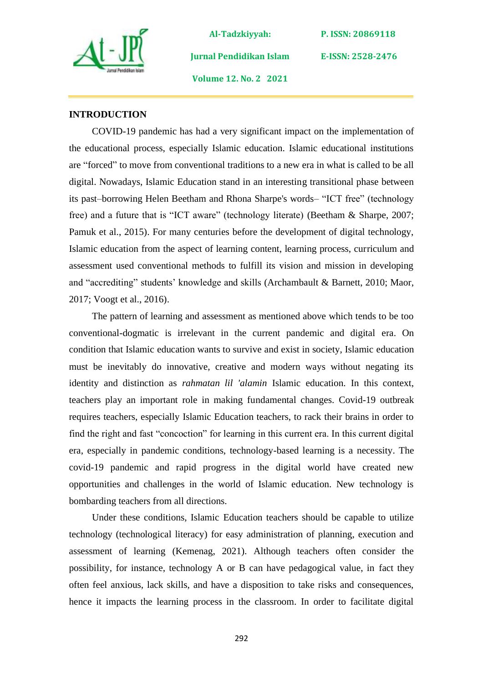

**P. ISSN: 20869118** 

**E-ISSN: 2528-2476**

**Volume 12. No. 2 2021**

**Jurnal Pendidikan Islam** 

### **INTRODUCTION**

COVID-19 pandemic has had a very significant impact on the implementation of the educational process, especially Islamic education. Islamic educational institutions are "forced" to move from conventional traditions to a new era in what is called to be all digital. Nowadays, Islamic Education stand in an interesting transitional phase between its past–borrowing Helen Beetham and Rhona Sharpe's words– "ICT free" (technology free) and a future that is "ICT aware" (technology literate) (Beetham & Sharpe, 2007; Pamuk et al., 2015). For many centuries before the development of digital technology, Islamic education from the aspect of learning content, learning process, curriculum and assessment used conventional methods to fulfill its vision and mission in developing and "accrediting" students' knowledge and skills (Archambault & Barnett, 2010; Maor, 2017; Voogt et al., 2016).

The pattern of learning and assessment as mentioned above which tends to be too conventional-dogmatic is irrelevant in the current pandemic and digital era. On condition that Islamic education wants to survive and exist in society, Islamic education must be inevitably do innovative, creative and modern ways without negating its identity and distinction as *rahmatan lil 'alamin* Islamic education. In this context, teachers play an important role in making fundamental changes. Covid-19 outbreak requires teachers, especially Islamic Education teachers, to rack their brains in order to find the right and fast "concoction" for learning in this current era. In this current digital era, especially in pandemic conditions, technology-based learning is a necessity. The covid-19 pandemic and rapid progress in the digital world have created new opportunities and challenges in the world of Islamic education. New technology is bombarding teachers from all directions.

Under these conditions, Islamic Education teachers should be capable to utilize technology (technological literacy) for easy administration of planning, execution and assessment of learning (Kemenag, 2021). Although teachers often consider the possibility, for instance, technology A or B can have pedagogical value, in fact they often feel anxious, lack skills, and have a disposition to take risks and consequences, hence it impacts the learning process in the classroom. In order to facilitate digital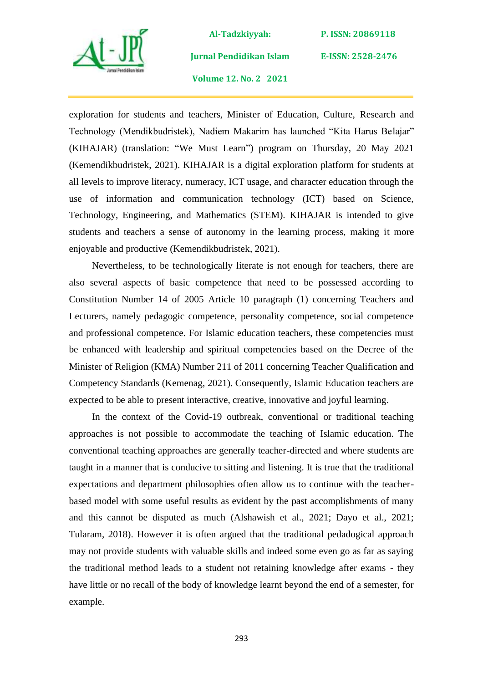

**Jurnal Pendidikan Islam** 

**P. ISSN: 20869118** 

**E-ISSN: 2528-2476**

**Volume 12. No. 2 2021**

exploration for students and teachers, Minister of Education, Culture, Research and Technology (Mendikbudristek), Nadiem Makarim has launched "Kita Harus Belajar" (KIHAJAR) (translation: "We Must Learn") program on Thursday, 20 May 2021 (Kemendikbudristek, 2021). KIHAJAR is a digital exploration platform for students at all levels to improve literacy, numeracy, ICT usage, and character education through the use of information and communication technology (ICT) based on Science, Technology, Engineering, and Mathematics (STEM). KIHAJAR is intended to give students and teachers a sense of autonomy in the learning process, making it more enjoyable and productive (Kemendikbudristek, 2021).

Nevertheless, to be technologically literate is not enough for teachers, there are also several aspects of basic competence that need to be possessed according to Constitution Number 14 of 2005 Article 10 paragraph (1) concerning Teachers and Lecturers, namely pedagogic competence, personality competence, social competence and professional competence. For Islamic education teachers, these competencies must be enhanced with leadership and spiritual competencies based on the Decree of the Minister of Religion (KMA) Number 211 of 2011 concerning Teacher Qualification and Competency Standards (Kemenag, 2021). Consequently, Islamic Education teachers are expected to be able to present interactive, creative, innovative and joyful learning.

In the context of the Covid-19 outbreak, conventional or traditional teaching approaches is not possible to accommodate the teaching of Islamic education. The conventional teaching approaches are generally teacher-directed and where students are taught in a manner that is conducive to sitting and listening. It is true that the traditional expectations and department philosophies often allow us to continue with the teacherbased model with some useful results as evident by the past accomplishments of many and this cannot be disputed as much (Alshawish et al., 2021; Dayo et al., 2021; Tularam, 2018). However it is often argued that the traditional pedadogical approach may not provide students with valuable skills and indeed some even go as far as saying the traditional method leads to a student not retaining knowledge after exams - they have little or no recall of the body of knowledge learnt beyond the end of a semester, for example.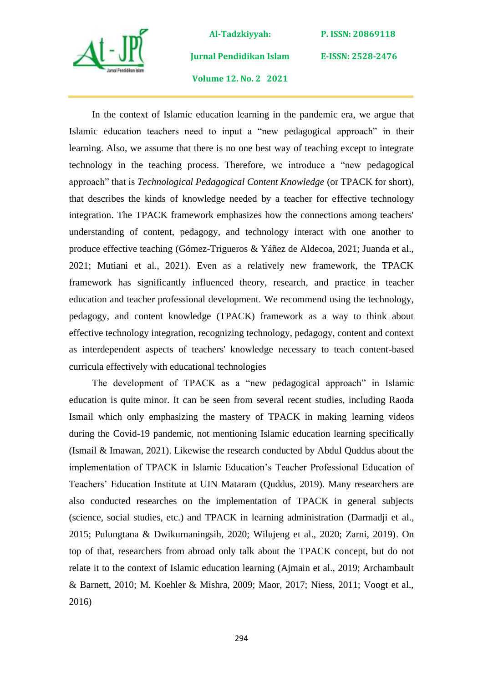

**Jurnal Pendidikan Islam** 

**P. ISSN: 20869118** 

**E-ISSN: 2528-2476**

**Volume 12. No. 2 2021**

In the context of Islamic education learning in the pandemic era, we argue that Islamic education teachers need to input a "new pedagogical approach" in their learning. Also, we assume that there is no one best way of teaching except to integrate technology in the teaching process. Therefore, we introduce a "new pedagogical approach" that is *Technological Pedagogical Content Knowledge* (or TPACK for short), that describes the kinds of knowledge needed by a teacher for effective technology integration. The TPACK framework emphasizes how the connections among teachers' understanding of content, pedagogy, and technology interact with one another to produce effective teaching (Gómez-Trigueros & Yáñez de Aldecoa, 2021; Juanda et al., 2021; Mutiani et al., 2021). Even as a relatively new framework, the TPACK framework has significantly influenced theory, research, and practice in teacher education and teacher professional development. We recommend using the technology, pedagogy, and content knowledge (TPACK) framework as a way to think about effective technology integration, recognizing technology, pedagogy, content and context as interdependent aspects of teachers' knowledge necessary to teach content-based curricula effectively with educational technologies

The development of TPACK as a "new pedagogical approach" in Islamic education is quite minor. It can be seen from several recent studies, including Raoda Ismail which only emphasizing the mastery of TPACK in making learning videos during the Covid-19 pandemic, not mentioning Islamic education learning specifically (Ismail & Imawan, 2021). Likewise the research conducted by Abdul Quddus about the implementation of TPACK in Islamic Education's Teacher Professional Education of Teachers' Education Institute at UIN Mataram (Quddus, 2019). Many researchers are also conducted researches on the implementation of TPACK in general subjects (science, social studies, etc.) and TPACK in learning administration (Darmadji et al., 2015; Pulungtana & Dwikurnaningsih, 2020; Wilujeng et al., 2020; Zarni, 2019). On top of that, researchers from abroad only talk about the TPACK concept, but do not relate it to the context of Islamic education learning (Ajmain et al., 2019; Archambault & Barnett, 2010; M. Koehler & Mishra, 2009; Maor, 2017; Niess, 2011; Voogt et al., 2016)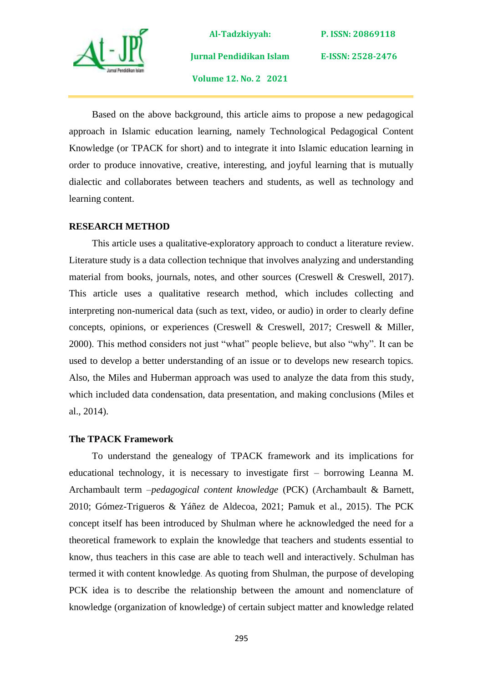

**Al-Tadzkiyyah: Jurnal Pendidikan Islam Volume 12. No. 2 2021**

**P. ISSN: 20869118** 

**E-ISSN: 2528-2476**

Based on the above background, this article aims to propose a new pedagogical approach in Islamic education learning, namely Technological Pedagogical Content Knowledge (or TPACK for short) and to integrate it into Islamic education learning in order to produce innovative, creative, interesting, and joyful learning that is mutually dialectic and collaborates between teachers and students, as well as technology and learning content.

### **RESEARCH METHOD**

This article uses a qualitative-exploratory approach to conduct a literature review. Literature study is a data collection technique that involves analyzing and understanding material from books, journals, notes, and other sources (Creswell & Creswell, 2017). This article uses a qualitative research method, which includes collecting and interpreting non-numerical data (such as text, video, or audio) in order to clearly define concepts, opinions, or experiences (Creswell & Creswell, 2017; Creswell & Miller, 2000). This method considers not just "what" people believe, but also "why". It can be used to develop a better understanding of an issue or to develops new research topics. Also, the Miles and Huberman approach was used to analyze the data from this study, which included data condensation, data presentation, and making conclusions (Miles et al., 2014).

#### **The TPACK Framework**

To understand the genealogy of TPACK framework and its implications for educational technology, it is necessary to investigate first – borrowing Leanna M. Archambault term –*pedagogical content knowledge* (PCK) (Archambault & Barnett, 2010; Gómez-Trigueros & Yáñez de Aldecoa, 2021; Pamuk et al., 2015). The PCK concept itself has been introduced by Shulman where he acknowledged the need for a theoretical framework to explain the knowledge that teachers and students essential to know, thus teachers in this case are able to teach well and interactively. Schulman has termed it with content knowledge. As quoting from Shulman, the purpose of developing PCK idea is to describe the relationship between the amount and nomenclature of knowledge (organization of knowledge) of certain subject matter and knowledge related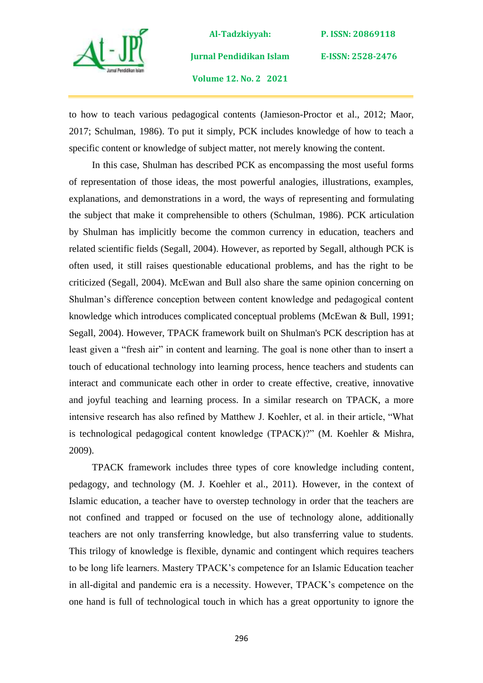

**Al-Tadzkiyyah: Jurnal Pendidikan Islam Volume 12. No. 2 2021**

**P. ISSN: 20869118** 

**E-ISSN: 2528-2476**

to how to teach various pedagogical contents (Jamieson-Proctor et al., 2012; Maor, 2017; Schulman, 1986). To put it simply, PCK includes knowledge of how to teach a specific content or knowledge of subject matter, not merely knowing the content.

In this case, Shulman has described PCK as encompassing the most useful forms of representation of those ideas, the most powerful analogies, illustrations, examples, explanations, and demonstrations in a word, the ways of representing and formulating the subject that make it comprehensible to others (Schulman, 1986). PCK articulation by Shulman has implicitly become the common currency in education, teachers and related scientific fields (Segall, 2004). However, as reported by Segall, although PCK is often used, it still raises questionable educational problems, and has the right to be criticized (Segall, 2004). McEwan and Bull also share the same opinion concerning on Shulman's difference conception between content knowledge and pedagogical content knowledge which introduces complicated conceptual problems (McEwan & Bull, 1991; Segall, 2004). However, TPACK framework built on Shulman's PCK description has at least given a "fresh air" in content and learning. The goal is none other than to insert a touch of educational technology into learning process, hence teachers and students can interact and communicate each other in order to create effective, creative, innovative and joyful teaching and learning process. In a similar research on TPACK, a more intensive research has also refined by Matthew J. Koehler, et al. in their article, "What is technological pedagogical content knowledge (TPACK)?" (M. Koehler & Mishra, 2009).

TPACK framework includes three types of core knowledge including content*,* pedagogy, and technology (M. J. Koehler et al., 2011)*.* However, in the context of Islamic education, a teacher have to overstep technology in order that the teachers are not confined and trapped or focused on the use of technology alone, additionally teachers are not only transferring knowledge, but also transferring value to students. This trilogy of knowledge is flexible, dynamic and contingent which requires teachers to be long life learners. Mastery TPACK's competence for an Islamic Education teacher in all-digital and pandemic era is a necessity. However, TPACK's competence on the one hand is full of technological touch in which has a great opportunity to ignore the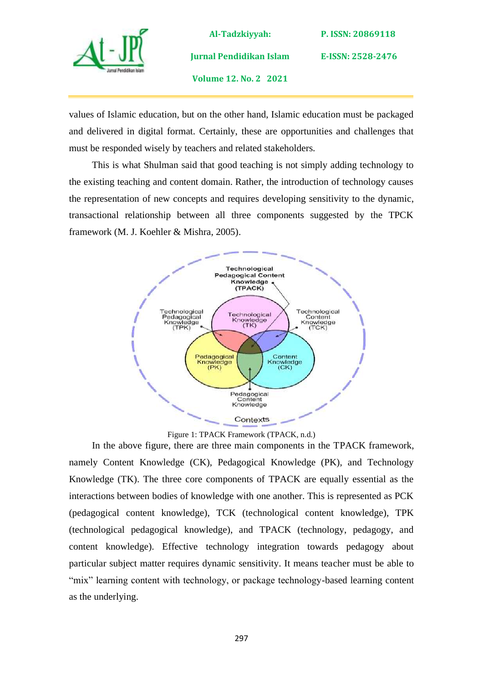

**Jurnal Pendidikan Islam** 

**E-ISSN: 2528-2476**

**Volume 12. No. 2 2021**

values of Islamic education, but on the other hand, Islamic education must be packaged and delivered in digital format. Certainly, these are opportunities and challenges that must be responded wisely by teachers and related stakeholders.

This is what Shulman said that good teaching is not simply adding technology to the existing teaching and content domain. Rather, the introduction of technology causes the representation of new concepts and requires developing sensitivity to the dynamic, transactional relationship between all three components suggested by the TPCK framework (M. J. Koehler & Mishra, 2005).



Figure 1: TPACK Framework (TPACK, n.d.)

In the above figure, there are three main components in the TPACK framework, namely Content Knowledge (CK), Pedagogical Knowledge (PK), and Technology Knowledge (TK). The three core components of TPACK are equally essential as the interactions between bodies of knowledge with one another. This is represented as PCK (pedagogical content knowledge), TCK (technological content knowledge), TPK (technological pedagogical knowledge), and TPACK (technology, pedagogy, and content knowledge). Effective technology integration towards pedagogy about particular subject matter requires dynamic sensitivity. It means teacher must be able to "mix" learning content with technology, or package technology-based learning content as the underlying.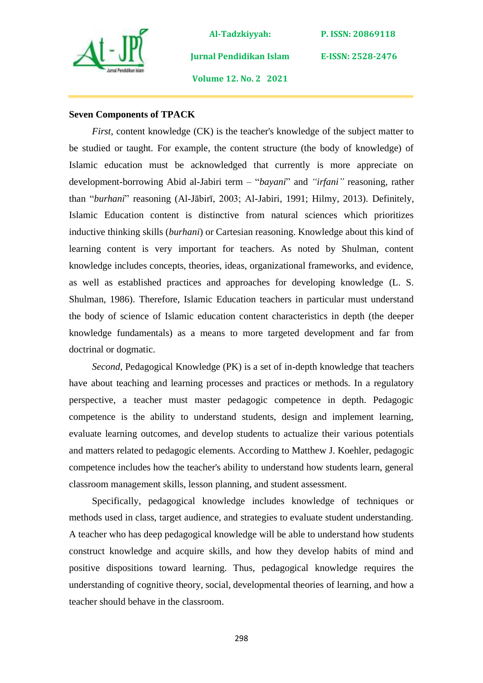

**P. ISSN: 20869118** 

**E-ISSN: 2528-2476**

**Volume 12. No. 2 2021**

**Jurnal Pendidikan Islam** 

### **Seven Components of TPACK**

*First,* content knowledge (CK) is the teacher's knowledge of the subject matter to be studied or taught. For example, the content structure (the body of knowledge) of Islamic education must be acknowledged that currently is more appreciate on development-borrowing Abid al-Jabiri term – "*bayani*" and *"irfani"* reasoning*,* rather than "*burhani*" reasoning (Al-Jābirī, 2003; Al-Jabiri, 1991; Hilmy, 2013)*.* Definitely, Islamic Education content is distinctive from natural sciences which prioritizes inductive thinking skills (*burhani*) or Cartesian reasoning. Knowledge about this kind of learning content is very important for teachers. As noted by Shulman, content knowledge includes concepts, theories, ideas, organizational frameworks, and evidence, as well as established practices and approaches for developing knowledge (L. S. Shulman, 1986). Therefore, Islamic Education teachers in particular must understand the body of science of Islamic education content characteristics in depth (the deeper knowledge fundamentals) as a means to more targeted development and far from doctrinal or dogmatic.

*Second,* Pedagogical Knowledge (PK) is a set of in-depth knowledge that teachers have about teaching and learning processes and practices or methods. In a regulatory perspective, a teacher must master pedagogic competence in depth. Pedagogic competence is the ability to understand students, design and implement learning, evaluate learning outcomes, and develop students to actualize their various potentials and matters related to pedagogic elements. According to Matthew J. Koehler, pedagogic competence includes how the teacher's ability to understand how students learn, general classroom management skills, lesson planning, and student assessment.

Specifically, pedagogical knowledge includes knowledge of techniques or methods used in class, target audience, and strategies to evaluate student understanding. A teacher who has deep pedagogical knowledge will be able to understand how students construct knowledge and acquire skills, and how they develop habits of mind and positive dispositions toward learning. Thus, pedagogical knowledge requires the understanding of cognitive theory, social, developmental theories of learning*,* and how a teacher should behave in the classroom.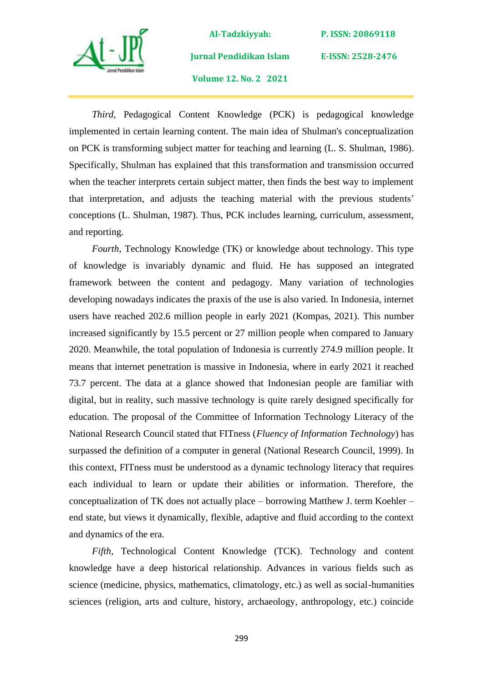

**Al-Tadzkiyyah: Jurnal Pendidikan Islam** 

**Volume 12. No. 2 2021**

**P. ISSN: 20869118** 

**E-ISSN: 2528-2476**

*Third,* Pedagogical Content Knowledge (PCK) is pedagogical knowledge implemented in certain learning content. The main idea of Shulman's conceptualization on PCK is transforming subject matter for teaching and learning (L. S. Shulman, 1986). Specifically, Shulman has explained that this transformation and transmission occurred when the teacher interprets certain subject matter, then finds the best way to implement that interpretation, and adjusts the teaching material with the previous students' conceptions (L. Shulman, 1987). Thus, PCK includes learning, curriculum, assessment, and reporting.

*Fourth,* Technology Knowledge (TK) or knowledge about technology. This type of knowledge is invariably dynamic and fluid. He has supposed an integrated framework between the content and pedagogy*.* Many variation of technologies developing nowadays indicates the praxis of the use is also varied. In Indonesia, internet users have reached 202.6 million people in early 2021 (Kompas, 2021). This number increased significantly by 15.5 percent or 27 million people when compared to January 2020. Meanwhile, the total population of Indonesia is currently 274.9 million people. It means that internet penetration is massive in Indonesia, where in early 2021 it reached 73.7 percent. The data at a glance showed that Indonesian people are familiar with digital, but in reality, such massive technology is quite rarely designed specifically for education. The proposal of the Committee of Information Technology Literacy of the National Research Council stated that FITness (*Fluency of Information Technology*) has surpassed the definition of a computer in general (National Research Council, 1999). In this context, FITness must be understood as a dynamic technology literacy that requires each individual to learn or update their abilities or information. Therefore, the conceptualization of TK does not actually place – borrowing Matthew J. term Koehler – end state, but views it dynamically, flexible, adaptive and fluid according to the context and dynamics of the era.

*Fifth,* Technological Content Knowledge (TCK). Technology and content knowledge have a deep historical relationship. Advances in various fields such as science (medicine, physics, mathematics, climatology, etc.) as well as social-humanities sciences (religion, arts and culture, history, archaeology, anthropology, etc.) coincide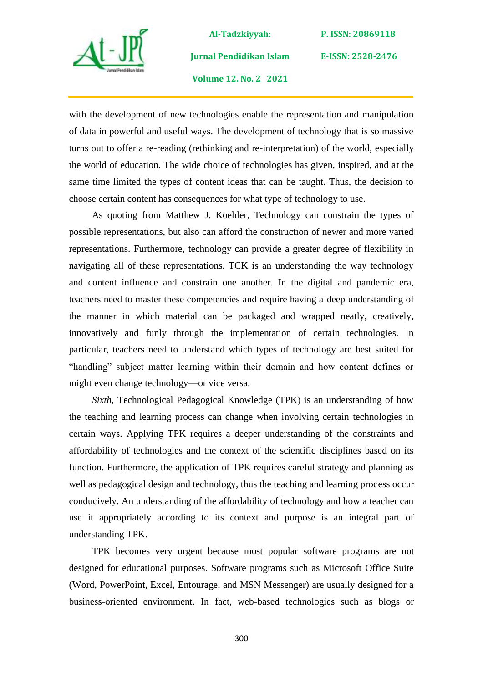

**Jurnal Pendidikan Islam** 

**P. ISSN: 20869118** 

**E-ISSN: 2528-2476**

**Volume 12. No. 2 2021**

with the development of new technologies enable the representation and manipulation of data in powerful and useful ways. The development of technology that is so massive turns out to offer a re-reading (rethinking and re-interpretation) of the world, especially the world of education. The wide choice of technologies has given, inspired, and at the same time limited the types of content ideas that can be taught. Thus, the decision to choose certain content has consequences for what type of technology to use.

As quoting from Matthew J. Koehler, Technology can constrain the types of possible representations, but also can afford the construction of newer and more varied representations. Furthermore, technology can provide a greater degree of flexibility in navigating all of these representations. TCK is an understanding the way technology and content influence and constrain one another. In the digital and pandemic era, teachers need to master these competencies and require having a deep understanding of the manner in which material can be packaged and wrapped neatly, creatively, innovatively and funly through the implementation of certain technologies. In particular, teachers need to understand which types of technology are best suited for "handling" subject matter learning within their domain and how content defines or might even change technology—or vice versa.

*Sixth,* Technological Pedagogical Knowledge (TPK) is an understanding of how the teaching and learning process can change when involving certain technologies in certain ways. Applying TPK requires a deeper understanding of the constraints and affordability of technologies and the context of the scientific disciplines based on its function. Furthermore, the application of TPK requires careful strategy and planning as well as pedagogical design and technology, thus the teaching and learning process occur conducively. An understanding of the affordability of technology and how a teacher can use it appropriately according to its context and purpose is an integral part of understanding TPK.

TPK becomes very urgent because most popular software programs are not designed for educational purposes. Software programs such as Microsoft Office Suite (Word, PowerPoint, Excel, Entourage, and MSN Messenger) are usually designed for a business-oriented environment. In fact, web-based technologies such as blogs or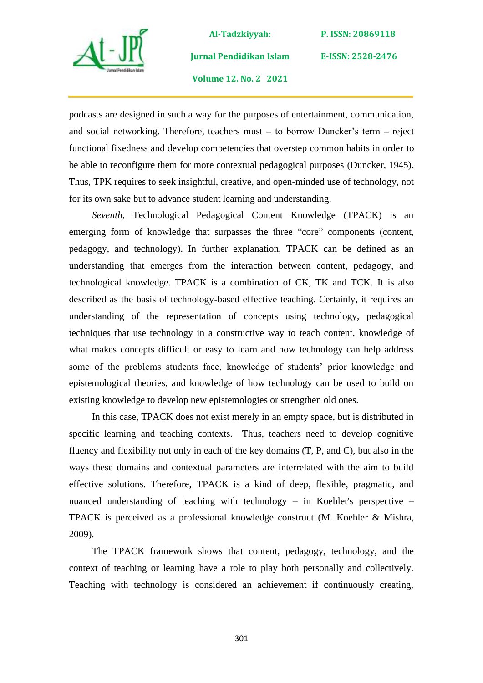

**Jurnal Pendidikan Islam** 

**P. ISSN: 20869118** 

**E-ISSN: 2528-2476**

**Volume 12. No. 2 2021**

podcasts are designed in such a way for the purposes of entertainment, communication, and social networking. Therefore, teachers must – to borrow Duncker's term – reject functional fixedness and develop competencies that overstep common habits in order to be able to reconfigure them for more contextual pedagogical purposes (Duncker, 1945). Thus, TPK requires to seek insightful, creative, and open-minded use of technology, not for its own sake but to advance student learning and understanding.

*Seventh,* Technological Pedagogical Content Knowledge (TPACK) is an emerging form of knowledge that surpasses the three "core" components (content, pedagogy, and technology). In further explanation, TPACK can be defined as an understanding that emerges from the interaction between content, pedagogy, and technological knowledge. TPACK is a combination of CK, TK and TCK. It is also described as the basis of technology-based effective teaching. Certainly, it requires an understanding of the representation of concepts using technology, pedagogical techniques that use technology in a constructive way to teach content, knowledge of what makes concepts difficult or easy to learn and how technology can help address some of the problems students face, knowledge of students' prior knowledge and epistemological theories, and knowledge of how technology can be used to build on existing knowledge to develop new epistemologies or strengthen old ones.

In this case, TPACK does not exist merely in an empty space, but is distributed in specific learning and teaching contexts. Thus, teachers need to develop cognitive fluency and flexibility not only in each of the key domains (T, P, and C), but also in the ways these domains and contextual parameters are interrelated with the aim to build effective solutions. Therefore, TPACK is a kind of deep, flexible, pragmatic, and nuanced understanding of teaching with technology – in Koehler's perspective – TPACK is perceived as a professional knowledge construct (M. Koehler & Mishra, 2009).

The TPACK framework shows that content, pedagogy, technology, and the context of teaching or learning have a role to play both personally and collectively. Teaching with technology is considered an achievement if continuously creating,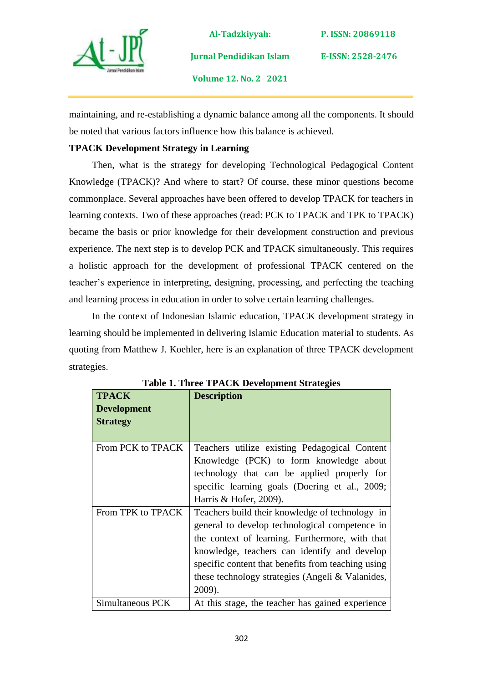

**Jurnal Pendidikan Islam** 

**P. ISSN: 20869118** 

**E-ISSN: 2528-2476**

**Volume 12. No. 2 2021**

maintaining, and re-establishing a dynamic balance among all the components. It should be noted that various factors influence how this balance is achieved.

# **TPACK Development Strategy in Learning**

Then, what is the strategy for developing Technological Pedagogical Content Knowledge (TPACK)? And where to start? Of course, these minor questions become commonplace. Several approaches have been offered to develop TPACK for teachers in learning contexts. Two of these approaches (read: PCK to TPACK and TPK to TPACK) became the basis or prior knowledge for their development construction and previous experience. The next step is to develop PCK and TPACK simultaneously. This requires a holistic approach for the development of professional TPACK centered on the teacher's experience in interpreting, designing, processing, and perfecting the teaching and learning process in education in order to solve certain learning challenges.

In the context of Indonesian Islamic education, TPACK development strategy in learning should be implemented in delivering Islamic Education material to students. As quoting from Matthew J. Koehler, here is an explanation of three TPACK development strategies.

| <b>TPACK</b>       | <b>Description</b>                                 |
|--------------------|----------------------------------------------------|
| <b>Development</b> |                                                    |
| <b>Strategy</b>    |                                                    |
|                    |                                                    |
| From PCK to TPACK  | Teachers utilize existing Pedagogical Content      |
|                    | Knowledge (PCK) to form knowledge about            |
|                    | technology that can be applied properly for        |
|                    | specific learning goals (Doering et al., 2009;     |
|                    | Harris & Hofer, 2009).                             |
| From TPK to TPACK  | Teachers build their knowledge of technology in    |
|                    | general to develop technological competence in     |
|                    | the context of learning. Furthermore, with that    |
|                    | knowledge, teachers can identify and develop       |
|                    | specific content that benefits from teaching using |
|                    | these technology strategies (Angeli & Valanides,   |
|                    | 2009).                                             |
| Simultaneous PCK   | At this stage, the teacher has gained experience   |

**Table 1. Three TPACK Development Strategies**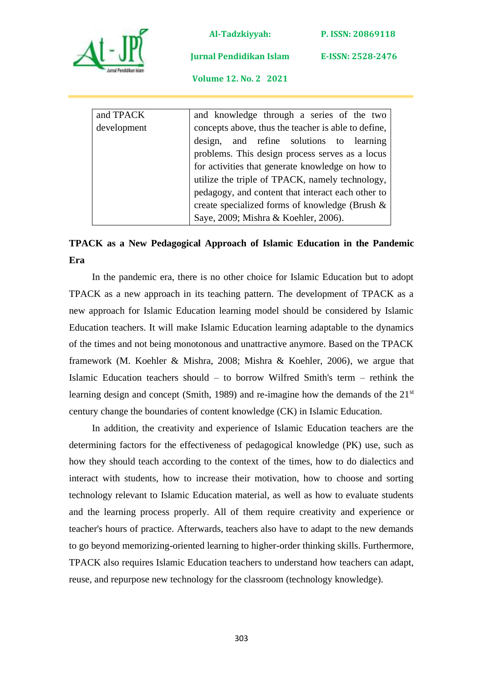

**P. ISSN: 20869118** 

**E-ISSN: 2528-2476**

**Jurnal Pendidikan Islam** 

**Volume 12. No. 2 2021**

| and TPACK   | and knowledge through a series of the two           |
|-------------|-----------------------------------------------------|
| development | concepts above, thus the teacher is able to define, |
|             | and refine solutions to learning<br>design,         |
|             | problems. This design process serves as a locus     |
|             | for activities that generate knowledge on how to    |
|             | utilize the triple of TPACK, namely technology,     |
|             | pedagogy, and content that interact each other to   |
|             | create specialized forms of knowledge (Brush $\&$   |
|             | Saye, 2009; Mishra & Koehler, 2006).                |

# **TPACK as a New Pedagogical Approach of Islamic Education in the Pandemic Era**

In the pandemic era, there is no other choice for Islamic Education but to adopt TPACK as a new approach in its teaching pattern. The development of TPACK as a new approach for Islamic Education learning model should be considered by Islamic Education teachers. It will make Islamic Education learning adaptable to the dynamics of the times and not being monotonous and unattractive anymore. Based on the TPACK framework (M. Koehler & Mishra, 2008; Mishra & Koehler, 2006), we argue that Islamic Education teachers should – to borrow Wilfred Smith's term – rethink the learning design and concept (Smith, 1989) and re-imagine how the demands of the 21<sup>st</sup> century change the boundaries of content knowledge (CK) in Islamic Education.

In addition, the creativity and experience of Islamic Education teachers are the determining factors for the effectiveness of pedagogical knowledge (PK) use, such as how they should teach according to the context of the times, how to do dialectics and interact with students, how to increase their motivation, how to choose and sorting technology relevant to Islamic Education material, as well as how to evaluate students and the learning process properly. All of them require creativity and experience or teacher's hours of practice. Afterwards, teachers also have to adapt to the new demands to go beyond memorizing-oriented learning to higher-order thinking skills. Furthermore, TPACK also requires Islamic Education teachers to understand how teachers can adapt, reuse, and repurpose new technology for the classroom (technology knowledge).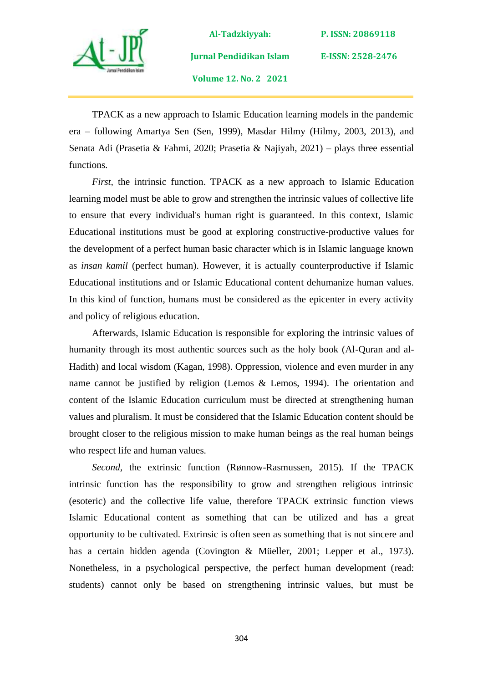

**Al-Tadzkiyyah: Jurnal Pendidikan Islam Volume 12. No. 2 2021**

**P. ISSN: 20869118** 

**E-ISSN: 2528-2476**

TPACK as a new approach to Islamic Education learning models in the pandemic era – following Amartya Sen (Sen, 1999), Masdar Hilmy (Hilmy, 2003, 2013), and Senata Adi (Prasetia & Fahmi, 2020; Prasetia & Najiyah, 2021) – plays three essential functions.

*First*, the intrinsic function. TPACK as a new approach to Islamic Education learning model must be able to grow and strengthen the intrinsic values of collective life to ensure that every individual's human right is guaranteed. In this context, Islamic Educational institutions must be good at exploring constructive-productive values for the development of a perfect human basic character which is in Islamic language known as *insan kamil* (perfect human). However, it is actually counterproductive if Islamic Educational institutions and or Islamic Educational content dehumanize human values. In this kind of function, humans must be considered as the epicenter in every activity and policy of religious education.

Afterwards, Islamic Education is responsible for exploring the intrinsic values of humanity through its most authentic sources such as the holy book (Al-Quran and al-Hadith) and local wisdom (Kagan, 1998). Oppression, violence and even murder in any name cannot be justified by religion (Lemos & Lemos, 1994). The orientation and content of the Islamic Education curriculum must be directed at strengthening human values and pluralism. It must be considered that the Islamic Education content should be brought closer to the religious mission to make human beings as the real human beings who respect life and human values.

*Second,* the extrinsic function (Rønnow-Rasmussen, 2015). If the TPACK intrinsic function has the responsibility to grow and strengthen religious intrinsic (esoteric) and the collective life value, therefore TPACK extrinsic function views Islamic Educational content as something that can be utilized and has a great opportunity to be cultivated. Extrinsic is often seen as something that is not sincere and has a certain hidden agenda (Covington & Müeller, 2001; Lepper et al., 1973)*.* Nonetheless, in a psychological perspective, the perfect human development (read: students) cannot only be based on strengthening intrinsic values, but must be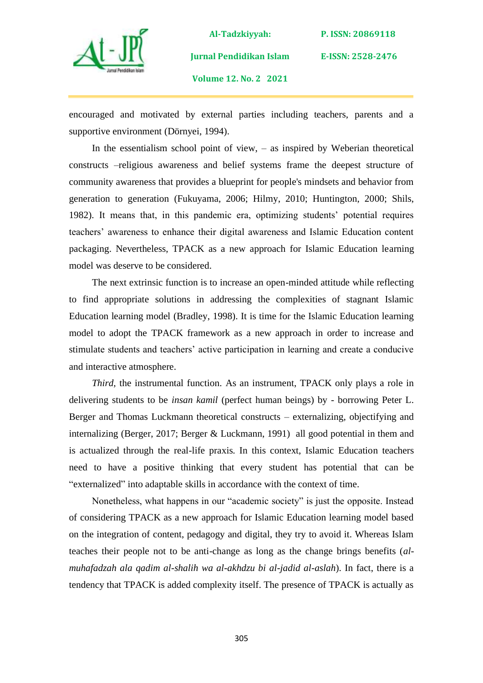

**Al-Tadzkiyyah: Jurnal Pendidikan Islam** 

**E-ISSN: 2528-2476**

**Volume 12. No. 2 2021**

encouraged and motivated by external parties including teachers, parents and a supportive environment (Dörnyei, 1994).

In the essentialism school point of view,  $-$  as inspired by Weberian theoretical constructs –religious awareness and belief systems frame the deepest structure of community awareness that provides a blueprint for people's mindsets and behavior from generation to generation (Fukuyama, 2006; Hilmy, 2010; Huntington, 2000; Shils, 1982). It means that, in this pandemic era, optimizing students' potential requires teachers' awareness to enhance their digital awareness and Islamic Education content packaging. Nevertheless, TPACK as a new approach for Islamic Education learning model was deserve to be considered.

The next extrinsic function is to increase an open-minded attitude while reflecting to find appropriate solutions in addressing the complexities of stagnant Islamic Education learning model (Bradley, 1998). It is time for the Islamic Education learning model to adopt the TPACK framework as a new approach in order to increase and stimulate students and teachers' active participation in learning and create a conducive and interactive atmosphere.

*Third*, the instrumental function. As an instrument, TPACK only plays a role in delivering students to be *insan kamil* (perfect human beings) by - borrowing Peter L. Berger and Thomas Luckmann theoretical constructs – externalizing, objectifying and internalizing (Berger, 2017; Berger & Luckmann, 1991) all good potential in them and is actualized through the real-life praxis. In this context, Islamic Education teachers need to have a positive thinking that every student has potential that can be "externalized" into adaptable skills in accordance with the context of time.

Nonetheless, what happens in our "academic society" is just the opposite. Instead of considering TPACK as a new approach for Islamic Education learning model based on the integration of content, pedagogy and digital, they try to avoid it. Whereas Islam teaches their people not to be anti-change as long as the change brings benefits (*almuhafadzah ala qadim al-shalih wa al-akhdzu bi al-jadid al-aslah*). In fact, there is a tendency that TPACK is added complexity itself. The presence of TPACK is actually as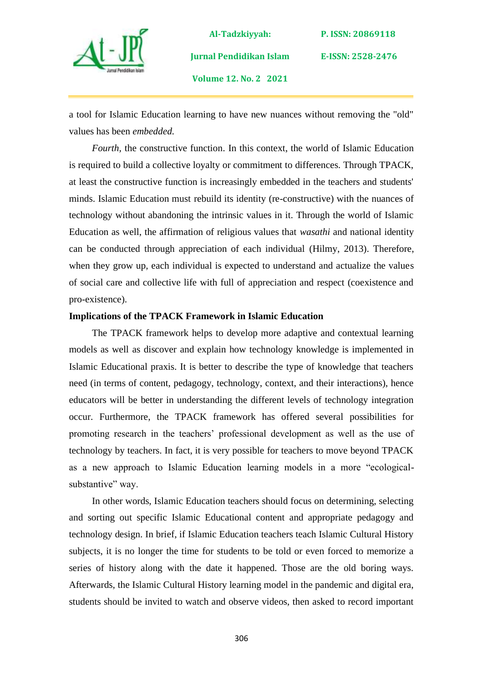

**Al-Tadzkiyyah: Jurnal Pendidikan Islam Volume 12. No. 2 2021**

**P. ISSN: 20869118** 

**E-ISSN: 2528-2476**

a tool for Islamic Education learning to have new nuances without removing the "old" values has been *embedded.*

*Fourth,* the constructive function. In this context, the world of Islamic Education is required to build a collective loyalty or commitment to differences. Through TPACK, at least the constructive function is increasingly embedded in the teachers and students' minds. Islamic Education must rebuild its identity (re-constructive) with the nuances of technology without abandoning the intrinsic values in it. Through the world of Islamic Education as well, the affirmation of religious values that *wasathi* and national identity can be conducted through appreciation of each individual (Hilmy, 2013). Therefore, when they grow up, each individual is expected to understand and actualize the values of social care and collective life with full of appreciation and respect (coexistence and pro-existence).

### **Implications of the TPACK Framework in Islamic Education**

The TPACK framework helps to develop more adaptive and contextual learning models as well as discover and explain how technology knowledge is implemented in Islamic Educational praxis. It is better to describe the type of knowledge that teachers need (in terms of content, pedagogy, technology, context, and their interactions), hence educators will be better in understanding the different levels of technology integration occur. Furthermore, the TPACK framework has offered several possibilities for promoting research in the teachers' professional development as well as the use of technology by teachers. In fact, it is very possible for teachers to move beyond TPACK as a new approach to Islamic Education learning models in a more "ecologicalsubstantive" way.

In other words, Islamic Education teachers should focus on determining, selecting and sorting out specific Islamic Educational content and appropriate pedagogy and technology design. In brief, if Islamic Education teachers teach Islamic Cultural History subjects, it is no longer the time for students to be told or even forced to memorize a series of history along with the date it happened. Those are the old boring ways. Afterwards, the Islamic Cultural History learning model in the pandemic and digital era, students should be invited to watch and observe videos, then asked to record important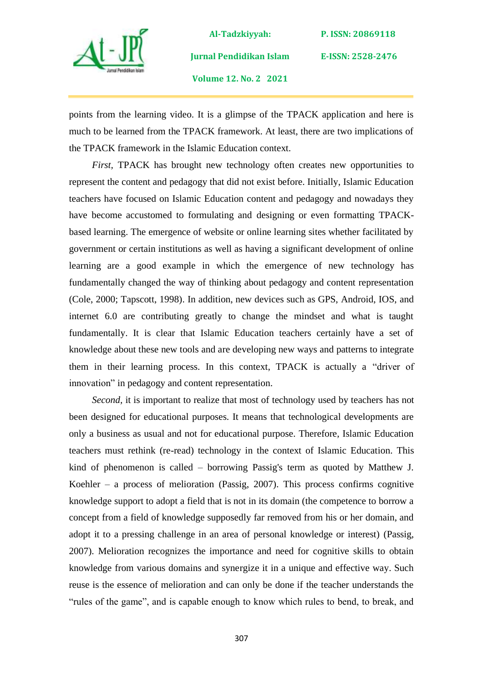

**Al-Tadzkiyyah: Jurnal Pendidikan Islam** 

**E-ISSN: 2528-2476**

**Volume 12. No. 2 2021**

points from the learning video. It is a glimpse of the TPACK application and here is much to be learned from the TPACK framework. At least, there are two implications of the TPACK framework in the Islamic Education context.

*First,* TPACK has brought new technology often creates new opportunities to represent the content and pedagogy that did not exist before. Initially, Islamic Education teachers have focused on Islamic Education content and pedagogy and nowadays they have become accustomed to formulating and designing or even formatting TPACKbased learning. The emergence of website or online learning sites whether facilitated by government or certain institutions as well as having a significant development of online learning are a good example in which the emergence of new technology has fundamentally changed the way of thinking about pedagogy and content representation (Cole, 2000; Tapscott, 1998). In addition, new devices such as GPS, Android, IOS, and internet 6.0 are contributing greatly to change the mindset and what is taught fundamentally. It is clear that Islamic Education teachers certainly have a set of knowledge about these new tools and are developing new ways and patterns to integrate them in their learning process. In this context, TPACK is actually a "driver of innovation" in pedagogy and content representation.

*Second,* it is important to realize that most of technology used by teachers has not been designed for educational purposes. It means that technological developments are only a business as usual and not for educational purpose. Therefore, Islamic Education teachers must rethink (re-read) technology in the context of Islamic Education. This kind of phenomenon is called – borrowing Passig's term as quoted by Matthew J. Koehler *–* a process of melioration (Passig, 2007). This process confirms cognitive knowledge support to adopt a field that is not in its domain (the competence to borrow a concept from a field of knowledge supposedly far removed from his or her domain, and adopt it to a pressing challenge in an area of personal knowledge or interest) (Passig, 2007). Melioration recognizes the importance and need for cognitive skills to obtain knowledge from various domains and synergize it in a unique and effective way. Such reuse is the essence of melioration and can only be done if the teacher understands the "rules of the game", and is capable enough to know which rules to bend, to break, and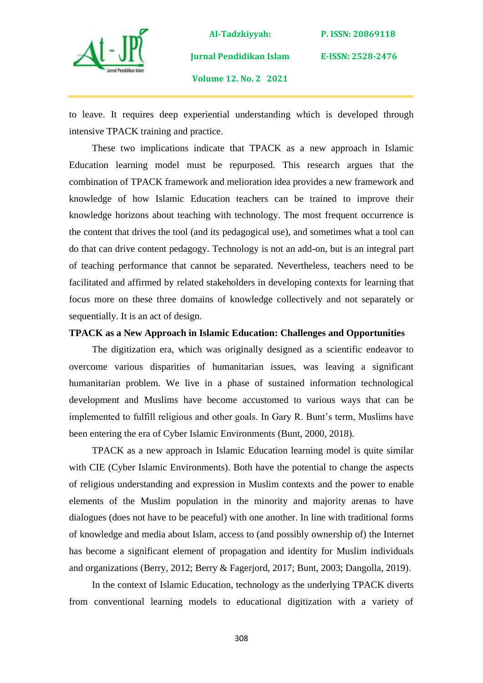

**Al-Tadzkiyyah: Jurnal Pendidikan Islam Volume 12. No. 2 2021**

**E-ISSN: 2528-2476**

to leave. It requires deep experiential understanding which is developed through intensive TPACK training and practice.

These two implications indicate that TPACK as a new approach in Islamic Education learning model must be repurposed. This research argues that the combination of TPACK framework and melioration idea provides a new framework and knowledge of how Islamic Education teachers can be trained to improve their knowledge horizons about teaching with technology. The most frequent occurrence is the content that drives the tool (and its pedagogical use), and sometimes what a tool can do that can drive content pedagogy. Technology is not an add-on, but is an integral part of teaching performance that cannot be separated. Nevertheless, teachers need to be facilitated and affirmed by related stakeholders in developing contexts for learning that focus more on these three domains of knowledge collectively and not separately or sequentially. It is an act of design.

### **TPACK as a New Approach in Islamic Education: Challenges and Opportunities**

The digitization era, which was originally designed as a scientific endeavor to overcome various disparities of humanitarian issues, was leaving a significant humanitarian problem. We live in a phase of sustained information technological development and Muslims have become accustomed to various ways that can be implemented to fulfill religious and other goals. In Gary R. Bunt's term, Muslims have been entering the era of Cyber Islamic Environments (Bunt, 2000, 2018).

TPACK as a new approach in Islamic Education learning model is quite similar with CIE (Cyber Islamic Environments). Both have the potential to change the aspects of religious understanding and expression in Muslim contexts and the power to enable elements of the Muslim population in the minority and majority arenas to have dialogues (does not have to be peaceful) with one another. In line with traditional forms of knowledge and media about Islam, access to (and possibly ownership of) the Internet has become a significant element of propagation and identity for Muslim individuals and organizations (Berry, 2012; Berry & Fagerjord, 2017; Bunt, 2003; Dangolla, 2019).

In the context of Islamic Education, technology as the underlying TPACK diverts from conventional learning models to educational digitization with a variety of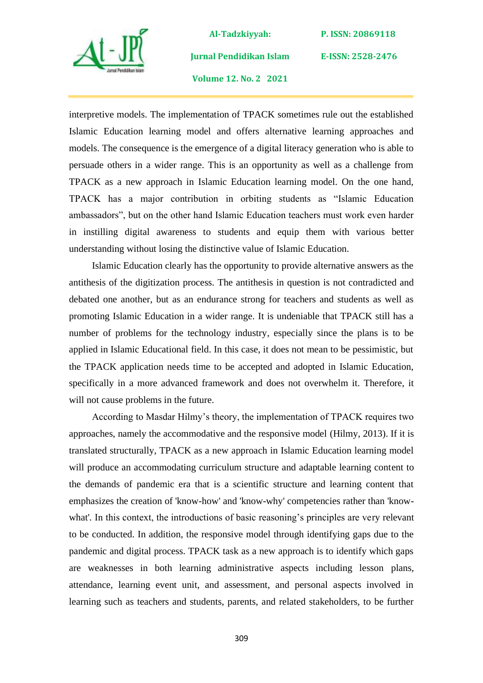

**Jurnal Pendidikan Islam** 

**P. ISSN: 20869118** 

**E-ISSN: 2528-2476**

**Volume 12. No. 2 2021**

interpretive models. The implementation of TPACK sometimes rule out the established Islamic Education learning model and offers alternative learning approaches and models. The consequence is the emergence of a digital literacy generation who is able to persuade others in a wider range. This is an opportunity as well as a challenge from TPACK as a new approach in Islamic Education learning model. On the one hand, TPACK has a major contribution in orbiting students as "Islamic Education ambassadors", but on the other hand Islamic Education teachers must work even harder in instilling digital awareness to students and equip them with various better understanding without losing the distinctive value of Islamic Education.

Islamic Education clearly has the opportunity to provide alternative answers as the antithesis of the digitization process. The antithesis in question is not contradicted and debated one another, but as an endurance strong for teachers and students as well as promoting Islamic Education in a wider range. It is undeniable that TPACK still has a number of problems for the technology industry, especially since the plans is to be applied in Islamic Educational field. In this case, it does not mean to be pessimistic, but the TPACK application needs time to be accepted and adopted in Islamic Education, specifically in a more advanced framework and does not overwhelm it. Therefore, it will not cause problems in the future.

According to Masdar Hilmy's theory, the implementation of TPACK requires two approaches, namely the accommodative and the responsive model (Hilmy, 2013). If it is translated structurally, TPACK as a new approach in Islamic Education learning model will produce an accommodating curriculum structure and adaptable learning content to the demands of pandemic era that is a scientific structure and learning content that emphasizes the creation of 'know-how' and 'know-why' competencies rather than 'knowwhat'*.* In this context, the introductions of basic reasoning's principles are very relevant to be conducted. In addition, the responsive model through identifying gaps due to the pandemic and digital process. TPACK task as a new approach is to identify which gaps are weaknesses in both learning administrative aspects including lesson plans, attendance, learning event unit, and assessment, and personal aspects involved in learning such as teachers and students, parents, and related stakeholders, to be further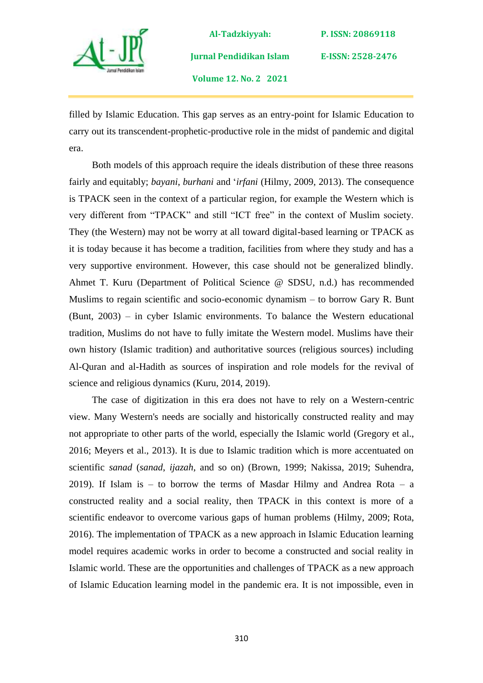

**Jurnal Pendidikan Islam** 

**P. ISSN: 20869118** 

**E-ISSN: 2528-2476**

**Volume 12. No. 2 2021**

filled by Islamic Education. This gap serves as an entry-point for Islamic Education to carry out its transcendent-prophetic-productive role in the midst of pandemic and digital era.

Both models of this approach require the ideals distribution of these three reasons fairly and equitably; *bayani*, *burhani* and '*irfani* (Hilmy, 2009, 2013). The consequence is TPACK seen in the context of a particular region, for example the Western which is very different from "TPACK" and still "ICT free" in the context of Muslim society. They (the Western) may not be worry at all toward digital-based learning or TPACK as it is today because it has become a tradition, facilities from where they study and has a very supportive environment. However, this case should not be generalized blindly. Ahmet T. Kuru (Department of Political Science @ SDSU, n.d.) has recommended Muslims to regain scientific and socio-economic dynamism – to borrow Gary R. Bunt (Bunt, 2003) – in cyber Islamic environments. To balance the Western educational tradition, Muslims do not have to fully imitate the Western model. Muslims have their own history (Islamic tradition) and authoritative sources (religious sources) including Al-Quran and al-Hadith as sources of inspiration and role models for the revival of science and religious dynamics (Kuru, 2014, 2019).

The case of digitization in this era does not have to rely on a Western-centric view. Many Western's needs are socially and historically constructed reality and may not appropriate to other parts of the world, especially the Islamic world (Gregory et al., 2016; Meyers et al., 2013). It is due to Islamic tradition which is more accentuated on scientific *sanad* (*sanad*, *ijazah*, and so on) (Brown, 1999; Nakissa, 2019; Suhendra, 2019). If Islam is – to borrow the terms of Masdar Hilmy and Andrea Rota – a constructed reality and a social reality, then TPACK in this context is more of a scientific endeavor to overcome various gaps of human problems (Hilmy, 2009; Rota, 2016). The implementation of TPACK as a new approach in Islamic Education learning model requires academic works in order to become a constructed and social reality in Islamic world. These are the opportunities and challenges of TPACK as a new approach of Islamic Education learning model in the pandemic era. It is not impossible, even in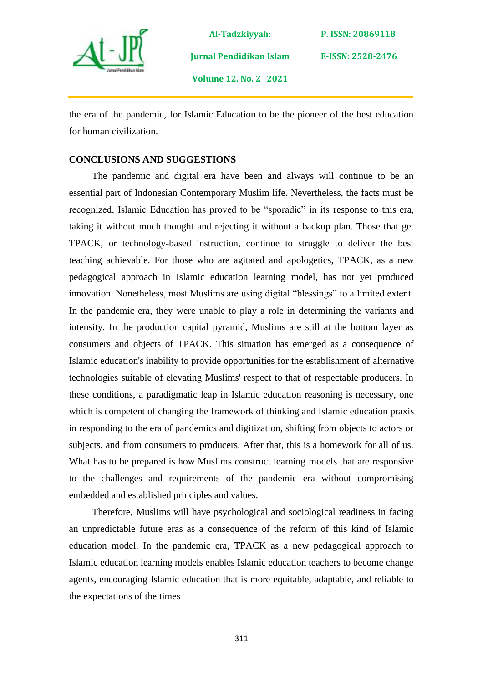

**P. ISSN: 20869118** 

**E-ISSN: 2528-2476**

**Volume 12. No. 2 2021**

**Jurnal Pendidikan Islam** 

the era of the pandemic, for Islamic Education to be the pioneer of the best education for human civilization.

## **CONCLUSIONS AND SUGGESTIONS**

The pandemic and digital era have been and always will continue to be an essential part of Indonesian Contemporary Muslim life. Nevertheless, the facts must be recognized, Islamic Education has proved to be "sporadic" in its response to this era, taking it without much thought and rejecting it without a backup plan. Those that get TPACK, or technology-based instruction, continue to struggle to deliver the best teaching achievable. For those who are agitated and apologetics, TPACK, as a new pedagogical approach in Islamic education learning model, has not yet produced innovation. Nonetheless, most Muslims are using digital "blessings" to a limited extent. In the pandemic era, they were unable to play a role in determining the variants and intensity. In the production capital pyramid, Muslims are still at the bottom layer as consumers and objects of TPACK. This situation has emerged as a consequence of Islamic education's inability to provide opportunities for the establishment of alternative technologies suitable of elevating Muslims' respect to that of respectable producers. In these conditions, a paradigmatic leap in Islamic education reasoning is necessary, one which is competent of changing the framework of thinking and Islamic education praxis in responding to the era of pandemics and digitization, shifting from objects to actors or subjects, and from consumers to producers. After that, this is a homework for all of us. What has to be prepared is how Muslims construct learning models that are responsive to the challenges and requirements of the pandemic era without compromising embedded and established principles and values.

Therefore, Muslims will have psychological and sociological readiness in facing an unpredictable future eras as a consequence of the reform of this kind of Islamic education model. In the pandemic era, TPACK as a new pedagogical approach to Islamic education learning models enables Islamic education teachers to become change agents, encouraging Islamic education that is more equitable, adaptable, and reliable to the expectations of the times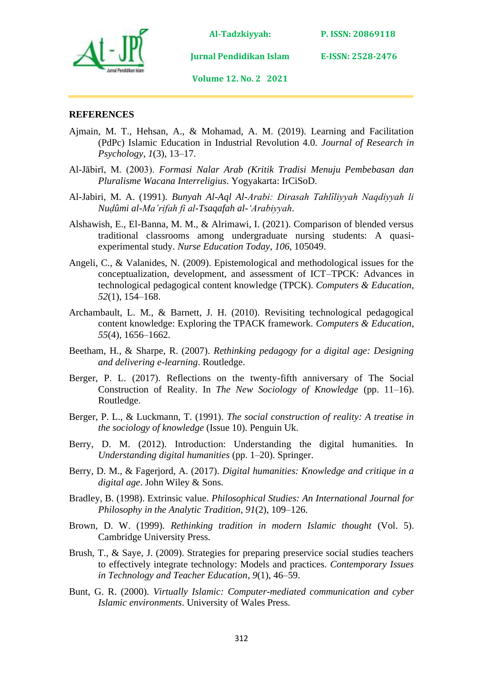

**P. ISSN: 20869118** 

**Jurnal Pendidikan Islam** 

**Volume 12. No. 2 2021**

### **REFERENCES**

- Ajmain, M. T., Hehsan, A., & Mohamad, A. M. (2019). Learning and Facilitation (PdPc) Islamic Education in Industrial Revolution 4.0. *Journal of Research in Psychology*, *1*(3), 13–17.
- Al-Jābirī, M. (2003). *Formasi Nalar Arab (Kritik Tradisi Menuju Pembebasan dan Pluralisme Wacana Interreligius*. Yogyakarta: IrCiSoD.
- Al-Jabiri, M. A. (1991). *Bunyah Al-Aql Al-Arabi: Dirasah Tahlȋliyyah Naqdiyyah li Nuḍûmi al-Ma'rifah fi al-Tsaqafah al-'Arabiyyah*.
- Alshawish, E., El-Banna, M. M., & Alrimawi, I. (2021). Comparison of blended versus traditional classrooms among undergraduate nursing students: A quasiexperimental study. *Nurse Education Today*, *106*, 105049.
- Angeli, C., & Valanides, N. (2009). Epistemological and methodological issues for the conceptualization, development, and assessment of ICT–TPCK: Advances in technological pedagogical content knowledge (TPCK). *Computers & Education*, *52*(1), 154–168.
- Archambault, L. M., & Barnett, J. H. (2010). Revisiting technological pedagogical content knowledge: Exploring the TPACK framework. *Computers & Education*, *55*(4), 1656–1662.
- Beetham, H., & Sharpe, R. (2007). *Rethinking pedagogy for a digital age: Designing and delivering e-learning*. Routledge.
- Berger, P. L. (2017). Reflections on the twenty-fifth anniversary of The Social Construction of Reality. In *The New Sociology of Knowledge* (pp. 11–16). Routledge.
- Berger, P. L., & Luckmann, T. (1991). *The social construction of reality: A treatise in the sociology of knowledge* (Issue 10). Penguin Uk.
- Berry, D. M. (2012). Introduction: Understanding the digital humanities. In *Understanding digital humanities* (pp. 1–20). Springer.
- Berry, D. M., & Fagerjord, A. (2017). *Digital humanities: Knowledge and critique in a digital age*. John Wiley & Sons.
- Bradley, B. (1998). Extrinsic value. *Philosophical Studies: An International Journal for Philosophy in the Analytic Tradition*, *91*(2), 109–126.
- Brown, D. W. (1999). *Rethinking tradition in modern Islamic thought* (Vol. 5). Cambridge University Press.
- Brush, T., & Saye, J. (2009). Strategies for preparing preservice social studies teachers to effectively integrate technology: Models and practices. *Contemporary Issues in Technology and Teacher Education*, *9*(1), 46–59.
- Bunt, G. R. (2000). *Virtually Islamic: Computer-mediated communication and cyber Islamic environments*. University of Wales Press.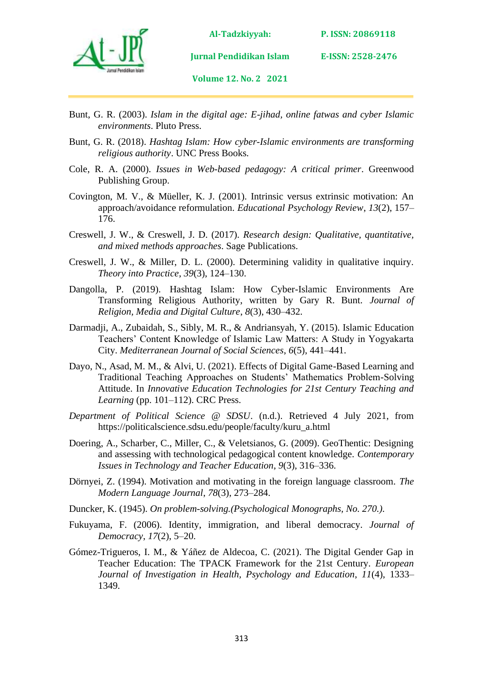

**P. ISSN: 20869118** 

**E-ISSN: 2528-2476**

**Volume 12. No. 2 2021**

**Jurnal Pendidikan Islam** 

- Bunt, G. R. (2003). *Islam in the digital age: E-jihad, online fatwas and cyber Islamic environments*. Pluto Press.
- Bunt, G. R. (2018). *Hashtag Islam: How cyber-Islamic environments are transforming religious authority*. UNC Press Books.
- Cole, R. A. (2000). *Issues in Web-based pedagogy: A critical primer*. Greenwood Publishing Group.
- Covington, M. V., & Müeller, K. J. (2001). Intrinsic versus extrinsic motivation: An approach/avoidance reformulation. *Educational Psychology Review*, *13*(2), 157– 176.
- Creswell, J. W., & Creswell, J. D. (2017). *Research design: Qualitative, quantitative, and mixed methods approaches*. Sage Publications.
- Creswell, J. W., & Miller, D. L. (2000). Determining validity in qualitative inquiry. *Theory into Practice*, *39*(3), 124–130.
- Dangolla, P. (2019). Hashtag Islam: How Cyber-Islamic Environments Are Transforming Religious Authority, written by Gary R. Bunt. *Journal of Religion, Media and Digital Culture*, *8*(3), 430–432.
- Darmadji, A., Zubaidah, S., Sibly, M. R., & Andriansyah, Y. (2015). Islamic Education Teachers' Content Knowledge of Islamic Law Matters: A Study in Yogyakarta City. *Mediterranean Journal of Social Sciences*, *6*(5), 441–441.
- Dayo, N., Asad, M. M., & Alvi, U. (2021). Effects of Digital Game-Based Learning and Traditional Teaching Approaches on Students' Mathematics Problem-Solving Attitude. In *Innovative Education Technologies for 21st Century Teaching and Learning* (pp. 101–112). CRC Press.
- *Department of Political Science @ SDSU*. (n.d.). Retrieved 4 July 2021, from https://politicalscience.sdsu.edu/people/faculty/kuru\_a.html
- Doering, A., Scharber, C., Miller, C., & Veletsianos, G. (2009). GeoThentic: Designing and assessing with technological pedagogical content knowledge. *Contemporary Issues in Technology and Teacher Education*, *9*(3), 316–336.
- Dörnyei, Z. (1994). Motivation and motivating in the foreign language classroom. *The Modern Language Journal*, *78*(3), 273–284.
- Duncker, K. (1945). *On problem-solving.(Psychological Monographs, No. 270.).*
- Fukuyama, F. (2006). Identity, immigration, and liberal democracy. *Journal of Democracy*, *17*(2), 5–20.
- Gómez-Trigueros, I. M., & Yáñez de Aldecoa, C. (2021). The Digital Gender Gap in Teacher Education: The TPACK Framework for the 21st Century. *European Journal of Investigation in Health, Psychology and Education*, *11*(4), 1333– 1349.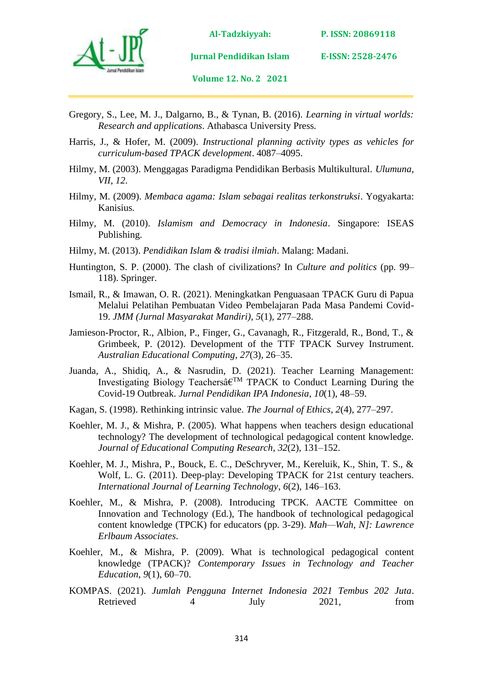

**P. ISSN: 20869118** 

**Jurnal Pendidikan Islam E-ISSN: 2528-2476**

**Volume 12. No. 2 2021**

- Gregory, S., Lee, M. J., Dalgarno, B., & Tynan, B. (2016). *Learning in virtual worlds: Research and applications*. Athabasca University Press.
- Harris, J., & Hofer, M. (2009). *Instructional planning activity types as vehicles for curriculum-based TPACK development*. 4087–4095.
- Hilmy, M. (2003). Menggagas Paradigma Pendidikan Berbasis Multikultural. *Ulumuna, VII*, *12*.
- Hilmy, M. (2009). *Membaca agama: Islam sebagai realitas terkonstruksi*. Yogyakarta: Kanisius.
- Hilmy, M. (2010). *Islamism and Democracy in Indonesia*. Singapore: ISEAS Publishing.
- Hilmy, M. (2013). *Pendidikan Islam & tradisi ilmiah*. Malang: Madani.
- Huntington, S. P. (2000). The clash of civilizations? In *Culture and politics* (pp. 99– 118). Springer.
- Ismail, R., & Imawan, O. R. (2021). Meningkatkan Penguasaan TPACK Guru di Papua Melalui Pelatihan Pembuatan Video Pembelajaran Pada Masa Pandemi Covid-19. *JMM (Jurnal Masyarakat Mandiri)*, *5*(1), 277–288.
- Jamieson-Proctor, R., Albion, P., Finger, G., Cavanagh, R., Fitzgerald, R., Bond, T., & Grimbeek, P. (2012). Development of the TTF TPACK Survey Instrument. *Australian Educational Computing*, *27*(3), 26–35.
- Juanda, A., Shidiq, A., & Nasrudin, D. (2021). Teacher Learning Management: Investigating Biology Teachersâ€TM TPACK to Conduct Learning During the Covid-19 Outbreak. *Jurnal Pendidikan IPA Indonesia*, *10*(1), 48–59.
- Kagan, S. (1998). Rethinking intrinsic value. *The Journal of Ethics*, *2*(4), 277–297.
- Koehler, M. J., & Mishra, P. (2005). What happens when teachers design educational technology? The development of technological pedagogical content knowledge. *Journal of Educational Computing Research*, *32*(2), 131–152.
- Koehler, M. J., Mishra, P., Bouck, E. C., DeSchryver, M., Kereluik, K., Shin, T. S., & Wolf, L. G. (2011). Deep-play: Developing TPACK for 21st century teachers. *International Journal of Learning Technology*, *6*(2), 146–163.
- Koehler, M., & Mishra, P. (2008). Introducing TPCK. AACTE Committee on Innovation and Technology (Ed.), The handbook of technological pedagogical content knowledge (TPCK) for educators (pp. 3-29). *Mah—Wah, N]: Lawrence Erlbaum Associates*.
- Koehler, M., & Mishra, P. (2009). What is technological pedagogical content knowledge (TPACK)? *Contemporary Issues in Technology and Teacher Education*, *9*(1), 60–70.
- KOMPAS. (2021). *Jumlah Pengguna Internet Indonesia 2021 Tembus 202 Juta*. Retrieved 4 July 2021, from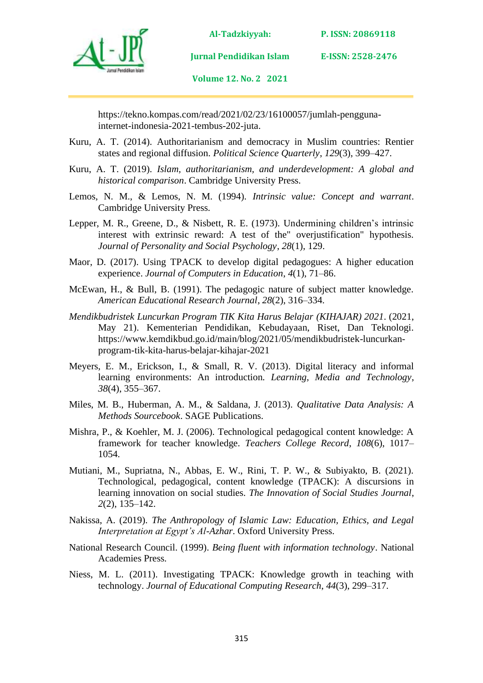



**Jurnal Pendidikan Islam** 

**Volume 12. No. 2 2021**

https://tekno.kompas.com/read/2021/02/23/16100057/jumlah-penggunainternet-indonesia-2021-tembus-202-juta.

- Kuru, A. T. (2014). Authoritarianism and democracy in Muslim countries: Rentier states and regional diffusion. *Political Science Quarterly*, *129*(3), 399–427.
- Kuru, A. T. (2019). *Islam, authoritarianism, and underdevelopment: A global and historical comparison*. Cambridge University Press.
- Lemos, N. M., & Lemos, N. M. (1994). *Intrinsic value: Concept and warrant*. Cambridge University Press.
- Lepper, M. R., Greene, D., & Nisbett, R. E. (1973). Undermining children's intrinsic interest with extrinsic reward: A test of the" overjustification" hypothesis. *Journal of Personality and Social Psychology*, *28*(1), 129.
- Maor, D. (2017). Using TPACK to develop digital pedagogues: A higher education experience. *Journal of Computers in Education*, *4*(1), 71–86.
- McEwan, H., & Bull, B. (1991). The pedagogic nature of subject matter knowledge. *American Educational Research Journal*, *28*(2), 316–334.
- *Mendikbudristek Luncurkan Program TIK Kita Harus Belajar (KIHAJAR) 2021*. (2021, May 21). Kementerian Pendidikan, Kebudayaan, Riset, Dan Teknologi. https://www.kemdikbud.go.id/main/blog/2021/05/mendikbudristek-luncurkanprogram-tik-kita-harus-belajar-kihajar-2021
- Meyers, E. M., Erickson, I., & Small, R. V. (2013). Digital literacy and informal learning environments: An introduction. *Learning, Media and Technology*, *38*(4), 355–367.
- Miles, M. B., Huberman, A. M., & Saldana, J. (2013). *Qualitative Data Analysis: A Methods Sourcebook*. SAGE Publications.
- Mishra, P., & Koehler, M. J. (2006). Technological pedagogical content knowledge: A framework for teacher knowledge. *Teachers College Record*, *108*(6), 1017– 1054.
- Mutiani, M., Supriatna, N., Abbas, E. W., Rini, T. P. W., & Subiyakto, B. (2021). Technological, pedagogical, content knowledge (TPACK): A discursions in learning innovation on social studies. *The Innovation of Social Studies Journal*, *2*(2), 135–142.
- Nakissa, A. (2019). *The Anthropology of Islamic Law: Education, Ethics, and Legal Interpretation at Egypt's Al-Azhar*. Oxford University Press.
- National Research Council. (1999). *Being fluent with information technology*. National Academies Press.
- Niess, M. L. (2011). Investigating TPACK: Knowledge growth in teaching with technology. *Journal of Educational Computing Research*, *44*(3), 299–317.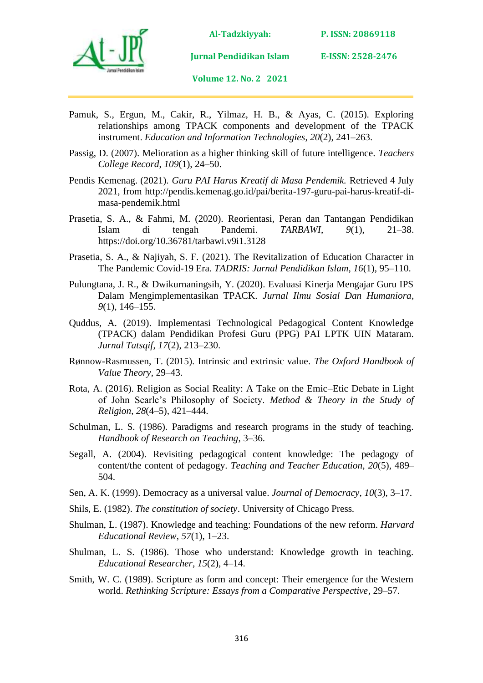

**P. ISSN: 20869118** 

**E-ISSN: 2528-2476**

**Volume 12. No. 2 2021**

**Jurnal Pendidikan Islam** 

- 
- Pamuk, S., Ergun, M., Cakir, R., Yilmaz, H. B., & Ayas, C. (2015). Exploring relationships among TPACK components and development of the TPACK instrument. *Education and Information Technologies*, *20*(2), 241–263.
- Passig, D. (2007). Melioration as a higher thinking skill of future intelligence. *Teachers College Record*, *109*(1), 24–50.
- Pendis Kemenag. (2021). *Guru PAI Harus Kreatif di Masa Pendemik.* Retrieved 4 July 2021, from http://pendis.kemenag.go.id/pai/berita-197-guru-pai-harus-kreatif-dimasa-pendemik.html
- Prasetia, S. A., & Fahmi, M. (2020). Reorientasi, Peran dan Tantangan Pendidikan Islam di tengah Pandemi. *TARBAWI*, *9*(1), 21–38. https://doi.org/10.36781/tarbawi.v9i1.3128
- Prasetia, S. A., & Najiyah, S. F. (2021). The Revitalization of Education Character in The Pandemic Covid-19 Era. *TADRIS: Jurnal Pendidikan Islam*, *16*(1), 95–110.
- Pulungtana, J. R., & Dwikurnaningsih, Y. (2020). Evaluasi Kinerja Mengajar Guru IPS Dalam Mengimplementasikan TPACK. *Jurnal Ilmu Sosial Dan Humaniora*, *9*(1), 146–155.
- Quddus, A. (2019). Implementasi Technological Pedagogical Content Knowledge (TPACK) dalam Pendidikan Profesi Guru (PPG) PAI LPTK UIN Mataram. *Jurnal Tatsqif*, *17*(2), 213–230.
- Rønnow-Rasmussen, T. (2015). Intrinsic and extrinsic value. *The Oxford Handbook of Value Theory*, 29–43.
- Rota, A. (2016). Religion as Social Reality: A Take on the Emic–Etic Debate in Light of John Searle's Philosophy of Society. *Method & Theory in the Study of Religion*, *28*(4–5), 421–444.
- Schulman, L. S. (1986). Paradigms and research programs in the study of teaching. *Handbook of Research on Teaching*, 3–36.
- Segall, A. (2004). Revisiting pedagogical content knowledge: The pedagogy of content/the content of pedagogy. *Teaching and Teacher Education*, *20*(5), 489– 504.
- Sen, A. K. (1999). Democracy as a universal value. *Journal of Democracy*, *10*(3), 3–17.
- Shils, E. (1982). *The constitution of society*. University of Chicago Press.
- Shulman, L. (1987). Knowledge and teaching: Foundations of the new reform. *Harvard Educational Review*, *57*(1), 1–23.
- Shulman, L. S. (1986). Those who understand: Knowledge growth in teaching. *Educational Researcher*, *15*(2), 4–14.
- Smith, W. C. (1989). Scripture as form and concept: Their emergence for the Western world. *Rethinking Scripture: Essays from a Comparative Perspective*, 29–57.